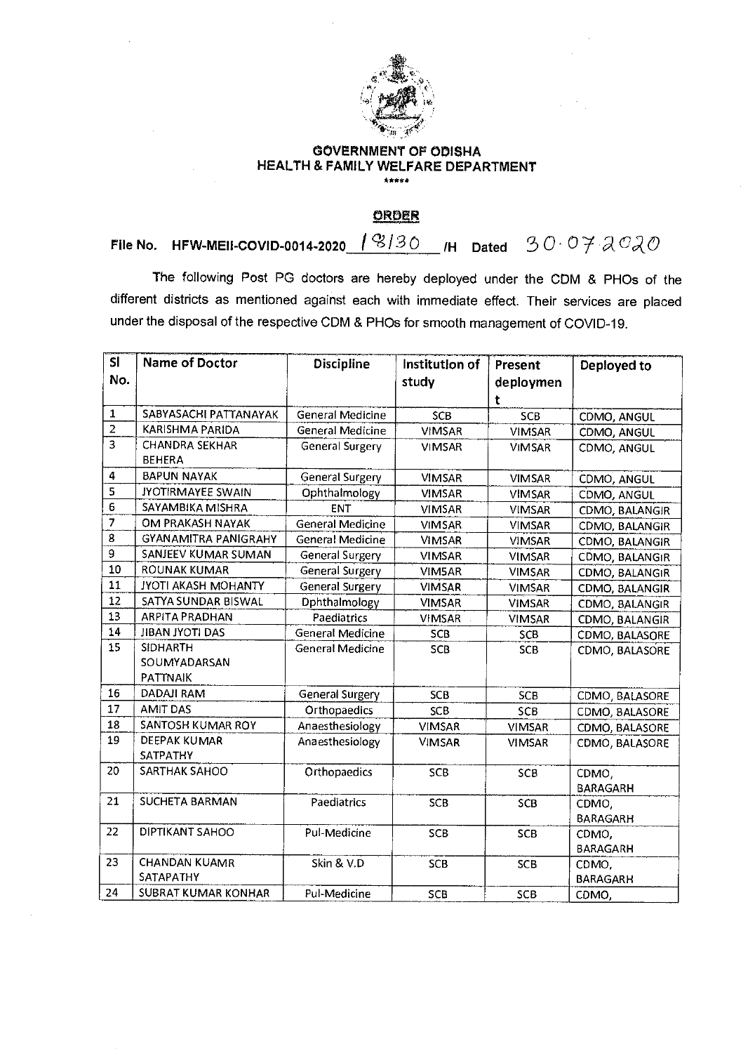

## **GOVERNMENT OF ODISHA HEALTH & FAMILY WELFARE DEPARTMENT**  \*\*•fi•

**ORDER** 

**File No.** HFW-MEII-COVID-0014-2020 18/30  $\mu$  Dated 30.07  $200$ 

The following Post PG doctors are hereby deployed under the CDM & PHOs of the different districts as mentioned against each with immediate effect. Their services are placed under the disposal of the respective CDM & PHOs for smooth management of COVID-19.

| <b>SI</b>      | <b>Name of Doctor</b>       | <b>Discipline</b>       | Institution of | Present       | Deployed to     |
|----------------|-----------------------------|-------------------------|----------------|---------------|-----------------|
| No.            |                             |                         | study          | deploymen     |                 |
|                |                             |                         |                | t             |                 |
| $\mathbf{1}$   | SABYASACHI PATTANAYAK       | General Medicine        | <b>SCB</b>     | SCB           | CDMO, ANGUL     |
| $\overline{2}$ | KARISHMA PARIDA             | General Medicine        | <b>VIMSAR</b>  | <b>VIMSAR</b> | CDMO, ANGUL     |
| $\overline{3}$ | <b>CHANDRA SEKHAR</b>       | <b>General Surgery</b>  | <b>VIMSAR</b>  | <b>VIMSAR</b> | CDMO, ANGUL     |
|                | <b>BEHERA</b>               |                         |                |               |                 |
| 4              | <b>BAPUN NAYAK</b>          | <b>General Surgery</b>  | <b>VIMSAR</b>  | <b>VIMSAR</b> | CDMO, ANGUL     |
| 5              | <b>JYOTIRMAYEE SWAIN</b>    | Ophthalmology           | <b>VIMSAR</b>  | <b>VIMSAR</b> | CDMO, ANGUL     |
| 6              | SAYAMBIKA MISHRA            | <b>ENT</b>              | <b>VIMSAR</b>  | <b>VIMSAR</b> | CDMO, BALANGIR  |
| 7              | OM PRAKASH NAYAK            | General Medicine        | <b>VIMSAR</b>  | <b>VIMSAR</b> | CDMO, BALANGIR  |
| 8              | <b>GYANAMITRA PANIGRAHY</b> | <b>General Medicine</b> | <b>VIMSAR</b>  | <b>VIMSAR</b> | CDMO, BALANGIR  |
| 9              | SANJEEV KUMAR SUMAN         | General Surgery         | VIMSAR         | <b>VIMSAR</b> | CDMO, BALANGIR  |
| 10             | ROUNAK KUMAR                | General Surgery         | VIM5AR         | <b>VIMSAR</b> | CDMO, BALANGIR  |
| 11             | <b>JYOTI AKASH MOHANTY</b>  | General Surgery         | <b>VIMSAR</b>  | <b>VIMSAR</b> | CDMO, BALANGIR  |
| 12             | SATYA SUNDAR BISWAL         | Dphthalmology           | <b>VIMSAR</b>  | VIMSAR        | CDMO, BALANGIR  |
| 13             | <b>ARPITA PRADHAN</b>       | Paediatrics             | <b>VIMSAR</b>  | <b>VIMSAR</b> | CDMO, BALANGIR  |
| 14             | <b>JIBAN JYOTI DAS</b>      | <b>General Medicine</b> | SCB            | SCB           | CDMO, BALASORE  |
| 15             | <b>SIDHARTH</b>             | <b>General Medicine</b> | SCB            | <b>SCB</b>    | CDMO, BALASORE  |
|                | SOUMYADARSAN                |                         |                |               |                 |
|                | PATTNAIK                    |                         |                |               |                 |
| 16             | DADAJI RAM                  | <b>General Surgery</b>  | <b>SCB</b>     | SCB           | CDMO, BALASORE  |
| 17             | <b>AMIT DAS</b>             | Orthopaedics            | SCB            | SCB           | CDMO, BALASORE  |
| 18             | SANTOSH KUMAR ROY           | Anaesthesiology         | VIMSAR         | <b>VIMSAR</b> | CDMO, BALASORE  |
| 19             | DEEPAK KUMAR                | Anaesthesiology         | <b>VIMSAR</b>  | <b>VIMSAR</b> | CDMO, BALASORE  |
|                | SATPATHY                    |                         |                |               |                 |
| 20             | SARTHAK SAHOO               | Orthopaedics            | SCB            | SCB           | CDMO,           |
|                |                             |                         |                |               | <b>BARAGARH</b> |
| 21             | <b>SUCHETA BARMAN</b>       | Paediatrics             | <b>SCB</b>     | SCB           | CDMO,           |
|                |                             |                         |                |               | <b>BARAGARH</b> |
| 22             | DIPTIKANT SAHOO             | Pul-Medicine            | SCB            | SCB           | CDMO,           |
|                |                             |                         |                |               | <b>BARAGARH</b> |
| 23             | <b>CHANDAN KUAMR</b>        | Skin & V.D              | SCB            | SCB           | CDMO,           |
|                | SATAPATHY                   |                         |                |               | <b>BARAGARH</b> |
| 24             | SUBRAT KUMAR KONHAR         | Pul-Medicine            | SCB            | <b>SCB</b>    | CDMO,           |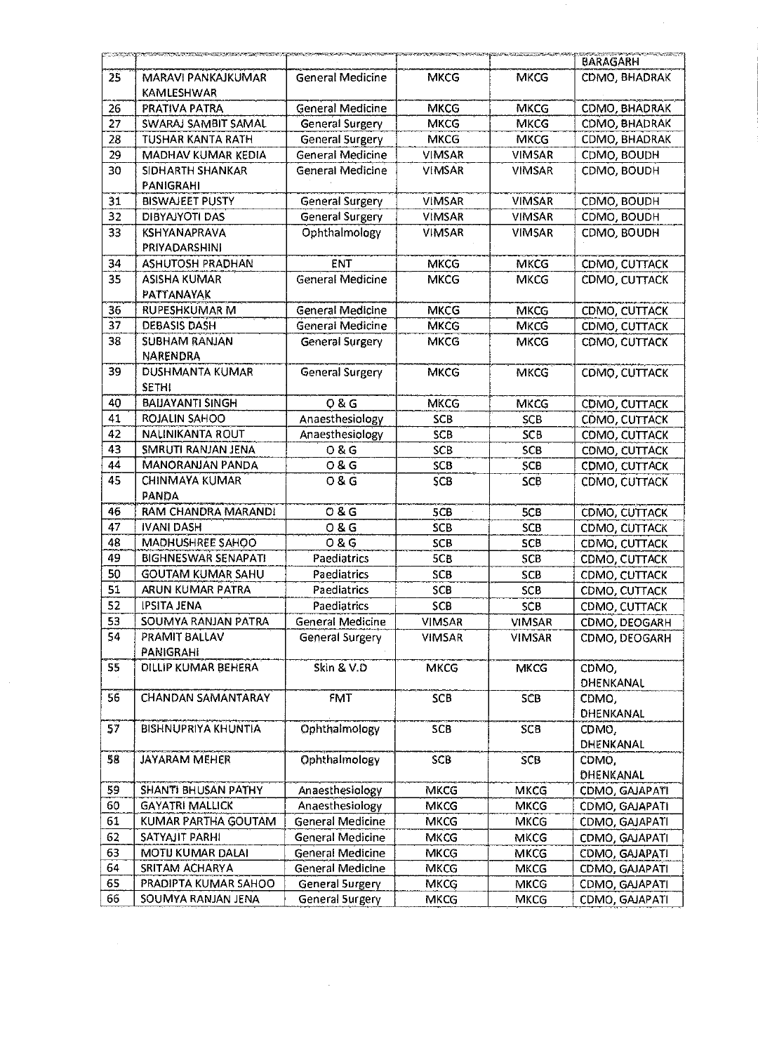|                 | <u> Microsofter (NASCO) a p</u>         |                         |               |               | BARAGARH           |
|-----------------|-----------------------------------------|-------------------------|---------------|---------------|--------------------|
| 25              | MARAVI PANKAJKUMAR<br>KAMLESHWAR        | <b>General Medicine</b> | <b>MKCG</b>   | <b>MKCG</b>   | CDMO, BHADRAK      |
| 26              | PRATIVA PATRA                           | General Medicine        | MKCG          | <b>MKCG</b>   | CDMO, BHADRAK      |
| 27              | SWARAJ SAMBIT SAMAL                     | General Surgery         | <b>MKCG</b>   | <b>MKCG</b>   | CDMO, BHADRAK      |
| 28              | TUSHAR KANTA RATH                       | General Surgery         | <b>MKCG</b>   | <b>MKCG</b>   | CDMO, BHADRAK      |
| 29              | MADHAV KUMAR KEDIA                      | <b>General Medicine</b> | <b>VIMSAR</b> | <b>VIMSAR</b> | CDMO, BOUDH        |
| 30              | SIDHARTH SHANKAR<br><b>PANIGRAHI</b>    | <b>General Medicine</b> | <b>VIMSAR</b> | <b>VIMSAR</b> | CDMO, BOUDH        |
| 31              | <b>BISWAJEET PUSTY</b>                  | <b>General Surgery</b>  | <b>VIMSAR</b> | <b>VIMSAR</b> | CDMO, BOUDH        |
| 32              | DIBYAJYOTI DAS                          | General Surgery         | <b>VIMSAR</b> | <b>VIMSAR</b> | CDMO, BOUDH        |
| 33 <sup>3</sup> | <b>KSHYANAPRAVA</b><br>PRIYADARSHINI    | Ophthalmology           | <b>VIMSAR</b> | <b>VIMSAR</b> | CDMO, BOUDH        |
| 34              | <b>ASHUTOSH PRADHAN</b>                 | ENT                     | <b>MKCG</b>   | <b>MKCG</b>   | CDMO, CUTTACK      |
| 35              | <b>ASISHA KUMAR</b><br>PATTANAYAK       | General Medicine        | <b>MKCG</b>   | <b>MKCG</b>   | CDMO, CUTTACK      |
| 36              | <b>RUPESHKUMAR M</b>                    | General Medicine        | <b>MKCG</b>   | <b>MKCG</b>   | CDMO, CUTTACK      |
| 37              | <b>DEBASIS DASH</b>                     | General Medicine        | MKCG          | <b>MKCG</b>   | CDMO, CUTTACK      |
| 38              | <b>SUBHAM RANJAN</b><br><b>NARENDRA</b> | General Surgery         | MKCG          | <b>MKCG</b>   | CDMO, CUTTACK      |
| 39              | DUSHMANTA KUMAR<br><b>SETHI</b>         | <b>General Surgery</b>  | <b>MKCG</b>   | <b>MKCG</b>   | CDMO, CUTTACK      |
| 40              | <b>BAIJAYANTI SINGH</b>                 | <b>08G</b>              | MKCG          | <b>MKCG</b>   | CDMO, CUTTACK      |
| 41              | <b>ROJALIN SAHOO</b>                    | Anaesthesiology         | <b>SCB</b>    | <b>SCB</b>    | COMO, CUTTACK      |
| 42              | <b>NALINIKANTA ROUT</b>                 | Anaesthesiology         | <b>SCB</b>    | <b>SCB</b>    | CDMO, CUTTACK      |
| 43              | SMRUTI RANJAN JENA                      | 0 & G                   | SCB           | SCB           | CDMO, CUTTACK      |
| 44              | <b>MANORANJAN PANDA</b>                 | 0 & G                   | SCB           | 5CB           | CDMO, CUTTACK      |
| 45              | <b>CHINMAYA KUMAR</b><br>PANDA          | 08G                     | SCB           | SCB           | CDMO, CUTTACK      |
| 46              | RAM CHANDRA MARANDI                     | O8G                     | 5CB           | 5CB           | CDMO, CUTTACK      |
| 47              | <b>IVANI DASH</b>                       | <b>08G</b>              | <b>SCB</b>    | <b>SCB</b>    | CDMO, CUTTACK      |
| 48              | MADHUSHREE SAHOO                        | <b>0&amp;G</b>          | <b>SCB</b>    | SCB           | CDMO, CUTTACK      |
| 49              | <b>BIGHNESWAR SENAPATI</b>              | Paediatrics             | 5CB           | SCB           | CDMO, CUTTACK      |
| 50              | <b>GOUTAM KUMAR SAHU</b>                | Paediatrics             | <b>SCB</b>    | <b>SCB</b>    | CDMO, CUTTACK      |
| 51              | ARUN KUMAR PATRA                        | Paediatrics             | SCB           | <b>SCB</b>    | CDMO, CUTTACK      |
| 52              | <b>IPSITA JENA</b>                      | Paediatrics             | SCB           | SCB           | CDMO, CUTTACK      |
| 53              | SOUMYA RANJAN PATRA                     | <b>General Medicine</b> | <b>VIMSAR</b> | <b>VIMSAR</b> | CDMO, DEOGARH      |
| 54              | PRAMIT BALLAV<br>PANIGRAHI              | General Surgery         | <b>VIMSAR</b> | <b>VIMSAR</b> | CDMO, DEOGARH      |
| 55              | DILLIP KUMAR BEHERA                     | Skin & V.D              | <b>MKCG</b>   | <b>MKCG</b>   | CDMO,<br>DHENKANAL |
| 56              | <b>CHANDAN SAMANTARAY</b>               | FMT                     | <b>SCB</b>    | SCB           | CDMO,<br>DHENKANAL |
| 57              | <b>BISHNUPRIYA KHUNTIA</b>              | Ophthalmology           | SCB           | <b>SCB</b>    | CDMO,<br>DHENKANAL |
| 58              | <b>JAYARAM MEHER</b>                    | Ophthalmology           | SCB           | <b>SCB</b>    | CDMO,<br>DHENKANAL |
| 59              | SHANTI BHUSAN PATHY                     | Anaesthesiology         | <b>MKCG</b>   | <b>MKCG</b>   | CDMO, GAJAPATI     |
| 60              | <b>GAYATRI MALLICK</b>                  | Anaesthesiology         | <b>MKCG</b>   | <b>MKCG</b>   | CDMO, GAJAPATI     |
| 61              | KUMAR PARTHA GOUTAM                     | <b>General Medicine</b> | MKCG          | <b>MKCG</b>   | CDMO, GAJAPATI     |
| 62              | SATYAJIT PARHI                          | General Medicine        | <b>MKCG</b>   | <b>INKCG</b>  | CDMO, GAJAPATI     |
| 63              | MOTIJ KUMAR DALAI                       | General Medicine        | MKCG          | <b>MKCG</b>   | CDMO, GAJAPATI     |
| 64              | SRITAM ACHARYA                          | General Medicine        | <b>MKCG</b>   | <b>MKCG</b>   | CDMO, GAJAPATI     |
| 65              | PRADIPTA KUMAR SAHOO                    | General Surgery         | <b>MKCG</b>   | <b>MKCG</b>   | CDMO, GAJAPATI     |
| 66              | SOUMYA RANJAN JENA                      | General Surgery         | <b>MKCG</b>   | <b>MKCG</b>   | CDMO, GAJAPATI     |
|                 |                                         |                         |               |               |                    |

 $\frac{1}{2} \sum_{i=1}^{n} \frac{1}{2} \sum_{j=1}^{n} \frac{1}{2} \sum_{j=1}^{n} \frac{1}{2} \sum_{j=1}^{n} \frac{1}{2} \sum_{j=1}^{n} \frac{1}{2} \sum_{j=1}^{n} \frac{1}{2} \sum_{j=1}^{n} \frac{1}{2} \sum_{j=1}^{n} \frac{1}{2} \sum_{j=1}^{n} \frac{1}{2} \sum_{j=1}^{n} \frac{1}{2} \sum_{j=1}^{n} \frac{1}{2} \sum_{j=1}^{n} \frac{1}{2} \sum_{j=1}^{n$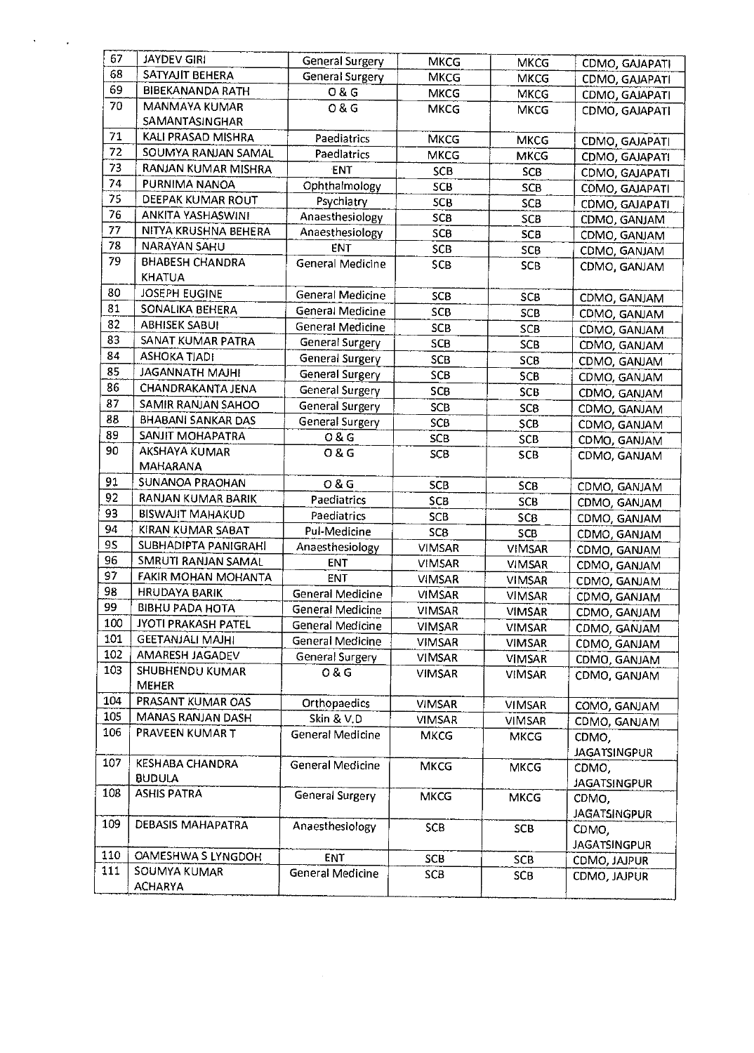| 67  | JAYDEV GIRI               | <b>General Surgery</b>  | <b>MKCG</b>     | <b>MKCG</b>   | CDMO, GAJAPATI               |
|-----|---------------------------|-------------------------|-----------------|---------------|------------------------------|
| 68  | SATYAJIT BEHERA           | <b>General Surgery</b>  | <b>MKCG</b>     | <b>MKCG</b>   | CDMO, GAJAPATI               |
| 69  | <b>BIBEKANANDA RATH</b>   | O & G                   | <b>MKCG</b>     | <b>MKCG</b>   | CDMO, GAJAPATI               |
| 70  | MANMAYA KUMAR             | 0 & G                   | MKCG            | <b>MKCG</b>   | CDMO, GAJAPATI               |
|     | SAMANTASINGHAR            |                         |                 |               |                              |
| 71  | KALI PRASAD MISHRA        | Paediatrics             | <b>MKCG</b>     | <b>MKCG</b>   | CDMO, GAJAPATI               |
| 72  | SOUMYA RANJAN SAMAL       | Paedlatrics             | <b>MKCG</b>     | <b>MKCG</b>   | CDMO, GAJAPATI               |
| 73  | RANJAN KUMAR MISHRA       | ENT                     | SCB             | <b>SCB</b>    | CDMO, GAJAPATI               |
| 74  | PURNIMA NANOA             | Ophthalmology           | SCB             | <b>SCB</b>    | CDMO, GAJAPATI               |
| 75  | DEEPAK KUMAR ROUT         | Psychiatry              | <b>SCB</b>      | SCB           | CDMO, GAJAPATI               |
| 76  | ANKITA YASHASWINI         | Anaesthesiology         | SCB             | SCB           | CDMO, GANJAM                 |
| 77  | NITYA KRUSHNA BEHERA      | Anaesthesiology         | SCB             | SCB           | CDMO, GANJAM                 |
| 78  | NARAYAN SAHU              | ENT                     | <b>SCB</b>      | SCB           |                              |
| 79  | <b>BHABESH CHANDRA</b>    | General Medicine        | SCB             | <b>SCB</b>    | CDMO, GANJAM                 |
|     | <b>KHATUA</b>             |                         |                 |               | CDMO, GANJAM                 |
| 80  | <b>JOSEPH EUGINE</b>      | General Medicine        |                 |               |                              |
| 81  | SONALIKA BEHERA           | General Medicine        | SC <sub>B</sub> | SCB           | CDMO, GANJAM                 |
| 82  | <b>ABHISEK SABUI</b>      |                         | SCB             | <b>SCB</b>    | CDMO, GANJAM                 |
| 83  | SANAT KUMAR PATRA         | General Medicine        | <b>SCB</b>      | SCB           | CDMO, GANJAM                 |
| 84  |                           | General Surgery         | <b>SCB</b>      | SCB           | CDMO, GANJAM                 |
| 85  | <b>ASHOKA TIADI</b>       | <b>General Surgery</b>  | SCB             | <b>SCB</b>    | CDMO, GANJAM                 |
|     | <b>JAGANNATH MAJHI</b>    | General Surgery         | SCB             | SCB           | CDMO, GANJAM                 |
| 86  | CHANDRAKANTA JENA         | <b>General Surgery</b>  | <b>SCB</b>      | <b>SCB</b>    | CDMO, GANJAM                 |
| 87  | SAMIR RANJAN SAHOO        | <b>General Surgery</b>  | <b>SCB</b>      | <b>SCB</b>    | CDMO, GANJAM                 |
| 88  | <b>BHABANI SANKAR DAS</b> | <b>General Surgery</b>  | SCB             | SCB           | CDMO, GANJAM                 |
| 89  | SANJIT MOHAPATRA          | O & G                   | SCB             | <b>SCB</b>    | CDMO, GANJAM                 |
| 90  | AKSHAYA KUMAR             | 08G                     | SCB             | <b>SCB</b>    | CDMO, GANJAM                 |
|     | MAHARANA                  |                         |                 |               |                              |
| 91  | SUNANOA PRAOHAN           | O & G                   | <b>SCB</b>      | <b>SCB</b>    | CDMO, GANJAM                 |
| 92  | RANJAN KUMAR BARIK        | Paediatrics             | SCB             | <b>SCB</b>    | CDMO, GANJAM                 |
| 93  | <b>BISWAJIT MAHAKUD</b>   | Paediatrics             | <b>SCB</b>      | <b>SCB</b>    | CDMO, GANJAM                 |
| 94  | KIRAN KUMAR SABAT         | Pul-Medicine            | <b>SCB</b>      | SCB           | CDMO, GANJAM                 |
| 95  | SUBHADIPTA PANIGRAHI      | Anaesthesiology         | <b>VIMSAR</b>   | <b>VIMSAR</b> | CDMO, GANJAM                 |
| 96  | SMRUTI RANJAN SAMAL       | <b>ENT</b>              | <b>VIMSAR</b>   | <b>VIMSAR</b> | CDMO, GANJAM                 |
| 97  | FAKIR MOHAN MOHANTA       | <b>ENT</b>              | <b>VIMSAR</b>   | <b>VIMSAR</b> | CDMO, GANJAM                 |
| 98  | <b>HRUDAYA BARIK</b>      | General Medicine        | <b>VIMSAR</b>   | VIMSAR        | CDMO, GANJAM                 |
| 99  | <b>BIBHU PADA HOTA</b>    | General Medicine        | <b>VIMSAR</b>   | <b>VIMSAR</b> | CDMO, GANJAM                 |
| 100 | JYOTI PRAKASH PATEL       | General Medicine        | <b>VIMSAR</b>   | <b>VIMSAR</b> | CDMO, GANJAM                 |
| 101 | <b>GEETANJALI MAJHI</b>   | General Medicine        | <b>VIMSAR</b>   | <b>VIMSAR</b> | CDMO, GANJAM                 |
| 102 | AMARESH JAGADEV           | General Surgery         | <b>VIMSAR</b>   | VIMSAR        | CDMO, GANJAM                 |
| 103 | SHUBHENDU KUMAR           | 0 & G                   | <b>VIMSAR</b>   | <b>VIMSAR</b> | CDMO, GANJAM                 |
|     | <b>MEHER</b>              |                         |                 |               |                              |
| 104 | PRASANT KUMAR OAS         | Orthopaedics            | <b>VIMSAR</b>   | <b>VIMSAR</b> | COMO, GANJAM                 |
| 105 | MANAS RANJAN DASH         | Skin & V.D              | VIMSAR          | <b>VIMSAR</b> | CDMO, GANJAM                 |
| 106 | PRAVEEN KUMAR T           | General Medicine        | <b>MKCG</b>     | <b>MKCG</b>   | CDMO,                        |
|     |                           |                         |                 |               | <b>JAGATSINGPUR</b>          |
| 107 | <b>KESHABA CHANDRA</b>    | <b>General Medicine</b> | <b>MKCG</b>     | <b>MKCG</b>   | CDMO,                        |
|     | <b>BUDULA</b>             |                         |                 |               | <b>JAGATSINGPUR</b>          |
| 108 | <b>ASHIS PATRA</b>        | <b>General Surgery</b>  | <b>MKCG</b>     | <b>MKCG</b>   |                              |
|     |                           |                         |                 |               | CDMO,<br><b>JAGATSINGPUR</b> |
| 109 | <b>DEBASIS MAHAPATRA</b>  | Anaesthesiology         | <b>SCB</b>      | SCB           |                              |
|     |                           |                         |                 |               | CDMO,                        |
| 110 | OAMESHWA S LYNGDOH        | ENT                     | <b>SCB</b>      | SCB           | <b>JAGATSINGPUR</b>          |
| 111 | SOUMYA KUMAR              | <b>General Medicine</b> | SCB             |               | CDMO, JAJPUR                 |
|     | <b>ACHARYA</b>            |                         |                 | SCB           | CDMO, JAJPUR                 |
|     |                           |                         |                 |               |                              |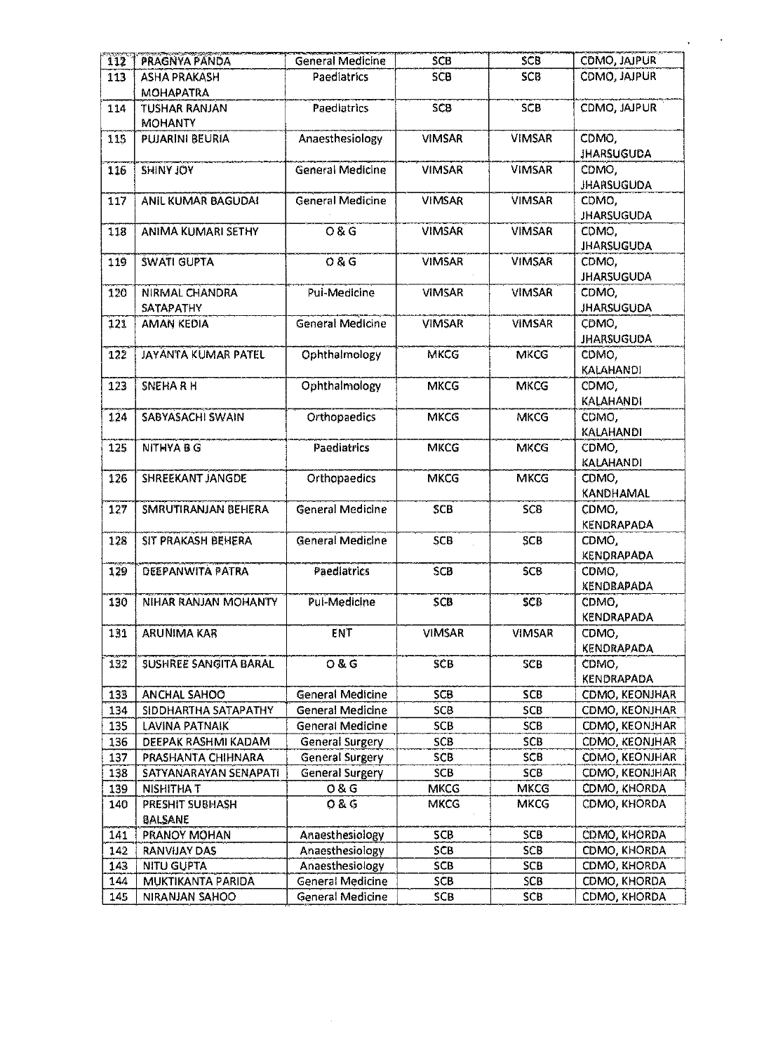| $\overline{112}$ | PRAGNYA PANDA                            | <b>General Medicine</b> | <b>SCB</b>    | <b>SCB</b>    | CDMO, JAJPUR               |
|------------------|------------------------------------------|-------------------------|---------------|---------------|----------------------------|
| 113              | <b>ASHA PRAKASH</b>                      | Paediatrics             | SCB           | SCB           | CDMO, JAJPUR               |
| 114              | <b>MOHAPATRA</b><br><b>TUSHAR RANJAN</b> | Paediatrics             | <b>SCB</b>    | SCB           | CDMO, JAJPUR               |
|                  | <b>MOHANTY</b>                           |                         |               |               |                            |
| 115              | <b>PUJARINI BEURIA</b>                   | Anaesthesiology         | <b>VIMSAR</b> | <b>VIMSAR</b> | CDMO,<br><b>JHARSUGUDA</b> |
| 116              | <b>SHINY JOY</b>                         | <b>General Medicine</b> | <b>VIMSAR</b> | <b>VIMSAR</b> | CDMO,<br><b>JHARSUGUDA</b> |
| 117              | <b>ANIL KUMAR BAGUDAI</b>                | General Medicine        | <b>VIMSAR</b> | <b>VIMSAR</b> | CDMO,<br><b>JHARSUGUDA</b> |
| 118              | ANIMA KUMARI SETHY                       | 0 & G                   | <b>VIMSAR</b> | <b>VIMSAR</b> | CDMO.<br><b>JHARSUGUDA</b> |
| 119              | <b>SWATI GUPTA</b>                       | 0 & G                   | <b>VIMSAR</b> | <b>VIMSAR</b> | CDMO,<br><b>JHARSUGUDA</b> |
| 120              | NIRMAL CHANDRA<br><b>SATAPATHY</b>       | Pui-Medicine            | <b>VIMSAR</b> | <b>VIMSAR</b> | CDMO.<br><b>JHARSUGUDA</b> |
| 121              | AMAN KEDIA                               | General Medicine        | <b>VIMSAR</b> | <b>VIMSAR</b> | CDMO,<br><b>JHARSUGUDA</b> |
| 122              | <b>JAYANTA KUMAR PATEL</b>               | Ophthalmology           | <b>MKCG</b>   | <b>MKCG</b>   | CDMO.<br><b>KALAHANDI</b>  |
| 123              | <b>SNEHARH</b>                           | Ophthalmology           | <b>MKCG</b>   | <b>MKCG</b>   | CDMO,<br><b>KALAHANDI</b>  |
| 124              | SABYASACHI SWAIN                         | Orthopaedics            | MKCG          | <b>MKCG</b>   | CDMO,<br><b>KALAHANDI</b>  |
| 125              | <b>NITHYABG</b>                          | <b>Paediatrics</b>      | <b>MKCG</b>   | <b>MKCG</b>   | CDMO,<br><b>KALAHANDI</b>  |
| 126              | SHREEKANT JANGDE                         | Orthopaedics            | <b>MKCG</b>   | <b>MKCG</b>   | CDMO,<br>KANDHAMAL         |
| 127              | SMRUTIRANJAN BEHERA                      | <b>General Medicine</b> | <b>SCB</b>    | <b>SCB</b>    | CDMO,<br>KENDRAPADA        |
| 128              | SIT PRAKASH BEHERA                       | General Medicine        | SCB           | <b>SCB</b>    | CDMO,<br>KENDRAPADA        |
| 129              | DEEPANWITA PATRA                         | Paediatrics             | SCB           | <b>SCB</b>    | CDMO,<br>KENDRAPADA        |
| 130              | NIHAR RANJAN MOHANTY                     | Pul-Medicine            | SCB           | SCB           | CDMO,<br><b>KENDRAPADA</b> |
| 131              | ARUNIMA KAR                              | ENT                     | <b>VIMSAR</b> | <b>VIMSAR</b> | CDMO,<br><b>KENDRAPADA</b> |
| 132              | <b>SUSHREE SANGITA BARAL</b>             | O & G                   | SCB           | SCB           | CDMO,<br>KENDRAPADA        |
| 133              | ANCHAL SAHOO                             | General Medicine        | SCB           | <b>SCB</b>    | CDMO, KEONJHAR             |
| 134              | SIDDHARTHA SATAPATHY                     | General Medicine        | <b>SCB</b>    | <b>SCB</b>    | CDMO, KEONJHAR             |
| 135              | LAVINA PATNAIK                           | <b>General Medicine</b> | <b>SCB</b>    | <b>SCB</b>    | CDMO, KEONJHAR             |
| 136              | DEEPAK RASHMI KADAM                      | General Surgery         | <b>SCB</b>    | SCB           | CDMO, KEONJHAR             |
| 137              | PRASHANTA CHIHNARA                       | <b>General Surgery</b>  | <b>SCB</b>    | <b>SCB</b>    | CDMO, KEONJHAR             |
| 138              | SATYANARAYAN SENAPATI                    | General Surgery         | SCB           | SCB           | CDMO, KEONJHAR             |
| 139              | <b>NISHITHAT</b>                         | 0 & G                   | <b>MKCG</b>   | <b>MKCG</b>   | CDMO, KHORDA               |
| 140              | PRESHIT SUBHASH<br>BALSANE               | <b>08G</b>              | <b>MKCG</b>   | <b>MKCG</b>   | CDMO, KHORDA               |
| 141              | PRANOY MOHAN                             | Anaesthesiology         | SCB           | <b>SCB</b>    | CDMO, KHORDA               |
| 142              | RANVIJAY DAS                             | Anaesthesiology         | <b>SCB</b>    | SCB           | CDMO, KHORDA               |
| 143              | <b>NITU GUPTA</b>                        | Anaesthesiology         | SCB           | SCB           | CDMO, KHORDA               |
| 144              | MUKTIKANTA PARIDA                        | General Medicine        | SCB           | <b>SCB</b>    | CDMO, KHORDA               |
| 145              | NIRANJAN SAHOO                           | General Medicine        | SCB           | <b>SCB</b>    | CDMO, KHORDA               |

 $\Delta \phi = 0.001$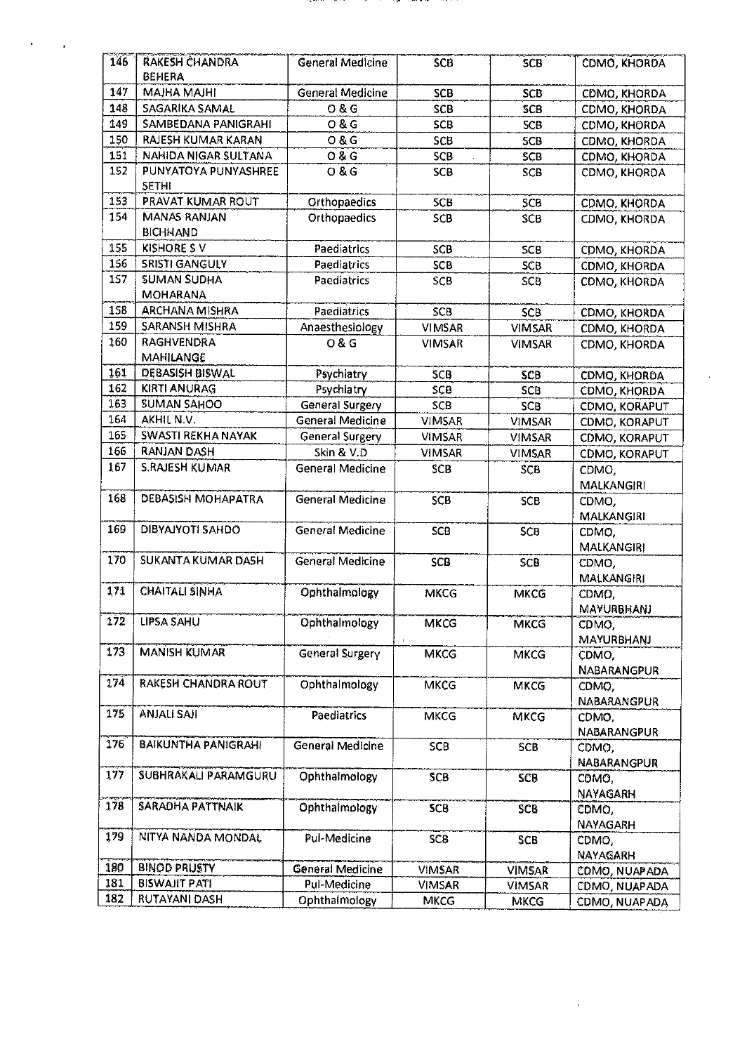| 146 | <b>RAKESH CHANDRA</b><br>BEHERA | <b>General Medicine</b> | SCB           | <b>SCB</b>    | CDMO, KHORDA               |
|-----|---------------------------------|-------------------------|---------------|---------------|----------------------------|
| 147 | <b>MAJHA MAJHI</b>              | General Medicine        | SCB           | SCB           | CDMO, KHORDA               |
| 148 | SAGARIKA SAMAL                  | O & G                   | <b>SCB</b>    | <b>SCB</b>    | CDMO, KHORDA               |
| 149 | SAMBEDANA PANIGRAHI             | Q & G                   | SCB           | <b>SCB</b>    | CDMO, KHORDA               |
| 150 | RAJESH KUMAR KARAN              | <b>0&amp;G</b>          | <b>SCB</b>    | SCB           | CDMO, KHORDA               |
| 151 | NAHIDA NIGAR SULTANA            | O & G                   | <b>SCB</b>    | <b>SCB</b>    | CDMO, KHORDA               |
| 152 | PUNYATOYA PUNYASHREE            | Q & G                   | SCB           | <b>SCB</b>    | CDMO, KHORDA               |
|     | <b>SETHI</b>                    |                         |               |               |                            |
| 153 | PRAVAT KUMAR ROUT               | Orthopaedics            | SCB           | <b>SCB</b>    | CDMO, KHORDA               |
| 154 | <b>MANAS RANJAN</b>             | Orthopaedics            | SCB           | SCB           | CDMO, KHORDA               |
|     | <b>BICHHAND</b>                 |                         |               |               |                            |
| 155 | <b>KISHORE SV</b>               | Paediatrics             | SCB           | <b>SCB</b>    | CDMO, KHORDA               |
| 156 | SRISTI GANGULY                  | Paediatrics             | <b>SCB</b>    | <b>SCB</b>    | CDMO, KHORDA               |
| 157 | <b>SUMAN SUDHA</b>              | Paediatrics             | SCB           | <b>SCB</b>    | CDMO, KHORDA               |
|     | <b>MOHARANA</b>                 |                         |               |               |                            |
| 158 | <b>ARCHANA MISHRA</b>           | Paediatrics             | <b>SCB</b>    | SCB           | CDMO, KHORDA               |
| 159 | SARANSH MISHRA                  | Anaesthesiology         | <b>VIMSAR</b> | <b>VIMSAR</b> | CDMO, KHORDA               |
| 160 | RAGHVENDRA                      | 0 & G                   | <b>VIMSAR</b> | <b>VIMSAR</b> | CDMO, KHORDA               |
|     | MAHILANGE                       |                         |               |               |                            |
| 161 | DEBASISH BISWAL                 | Psychiatry              | SCB           | SCB           | <b>CDMO, KHORDA</b>        |
| 162 | <b>KIRTI ANURAG</b>             | Psychiatry              | SCB           | <b>SCB</b>    | CDMO, KHORDA               |
| 163 | <b>SUMAN SAHOO</b>              | <b>General Surgery</b>  | <b>SCB</b>    | SCB           | CDMO, KORAPUT              |
| 164 | AKHIL N.V.                      | <b>General Medicine</b> | <b>VIMSAR</b> | <b>VIMSAR</b> | CDMO, KORAPUT              |
| 165 | SWASTI REKHA NAYAK              | <b>General Surgery</b>  | <b>VIMSAR</b> | <b>VIMSAR</b> | CDMO, KORAPUT              |
| 166 | RANJAN DASH                     | Skin & V.D              | <b>VIMSAR</b> | <b>VIMSAR</b> | CDMO, KORAPUT              |
| 167 | <b>S.RAJESH KUMAR</b>           | <b>General Medicine</b> | SCB           | SCB           | CDMO,                      |
|     |                                 |                         |               |               | <b>MALKANGIRI</b>          |
| 168 | <b>DEBASISH MOHAPATRA</b>       | <b>General Medicine</b> | SCB           | SCB           | CDMO,                      |
| 169 | DIBYAJYOTI SAHDO                | General Medicine        |               |               | MALKANGIRI                 |
|     |                                 |                         | <b>SCB</b>    | <b>SCB</b>    | CDMO.                      |
| 170 | SUKANTA KUMAR DA5H              | <b>General Medicine</b> | <b>SCB</b>    | SCB           | <b>MALKANGIRI</b>          |
|     |                                 |                         |               |               | CDMO,<br><b>MALKANGIRI</b> |
| 171 | <b>CHAITALI SINHA</b>           | Ophthalmology           | <b>MKCG</b>   | <b>MKCG</b>   | CDMO,                      |
|     |                                 |                         |               |               | MAYURBHANJ                 |
| 172 | LIPSA SAHU                      | Ophthalmology           | <b>MKCG</b>   | <b>MKCG</b>   | CDMO,                      |
|     |                                 |                         |               |               | <b>MAYURBHANJ</b>          |
| 173 | <b>MANISH KUMAR</b>             | <b>General Surgery</b>  | MKCG          | <b>MKCG</b>   | CDMO,                      |
|     |                                 |                         |               |               | NABARANGPUR                |
| 1/4 | RAKESH CHANDRA ROUT             | Ophthalmology           | <b>MKCG</b>   | MKCG          | CDMO,                      |
|     |                                 |                         |               |               | NABARANGPUR                |
| 175 | <b>ANJALI SAJI</b>              | Paediatrics             | <b>MKCG</b>   | <b>MKCG</b>   | CDMO,                      |
|     |                                 |                         |               |               | <b>NABARANGPUR</b>         |
| 176 | <b>BAIKUNTHA PANIGRAHI</b>      | General Medicine        | <b>SCB</b>    | <b>SCB</b>    | CDMO,                      |
|     |                                 |                         |               |               | NABARANGPUR                |
| 177 | SUBHRAKALI PARAMGURU            | Ophthalmology           | <b>SCB</b>    | SCB           | CDMO,                      |
|     |                                 |                         |               |               | NAYAGARH                   |
| 178 | SARADHA PATTNAIK                | Ophthalmology           | <b>SCB</b>    | SCB           | CDMO,                      |
|     |                                 |                         |               |               | <b>NAYAGARH</b>            |
| 179 | NITYA NANDA MONDAL              | Pul-Medicine            | <b>SCB</b>    | <b>SCB</b>    | CDMO,                      |
|     |                                 |                         |               |               | NAYAGARH                   |
| 180 | <b>BINOD PRUSTY</b>             | General Medicine        | <b>VIMSAR</b> | <b>VIMSAR</b> | COMO, NUAPADA              |
| 181 | <b>BISWAHT PATI</b>             | Pul-Medicine            | <b>VIMSAR</b> | <b>VIMSAR</b> | CDMO, NUAPADA              |
| 182 | <b>RUTAYANI DASH</b>            | Ophthalmology           | <b>MKCG</b>   | <b>MKCG</b>   | CDMO, NUAPADA              |

 $\mathbf{v} = \mathbf{v}$ 

 $\sim 10^{-1}$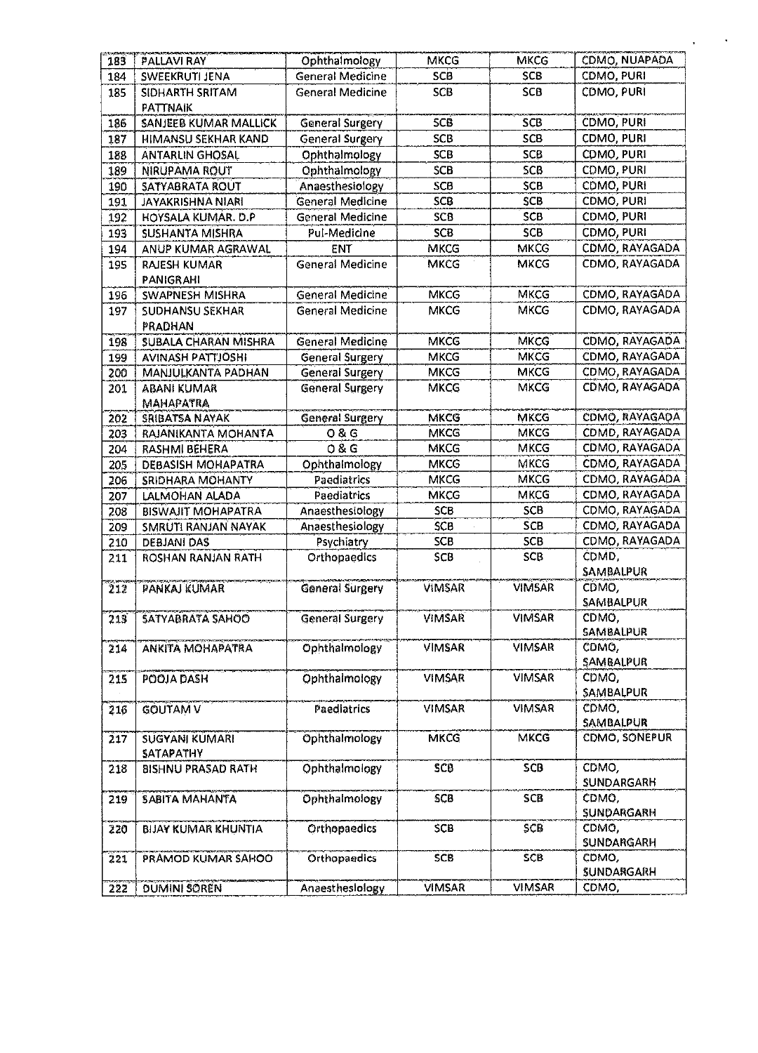| 183 | <b>PALLAVI RAY</b>         | Ophthalmology           | <b>MKCG</b>   | <b>MKCG</b>   | CDMO, NUAPADA     |
|-----|----------------------------|-------------------------|---------------|---------------|-------------------|
| 184 | SWEEKRUTI JENA             | <b>General Medicine</b> | SCB           | SCB           | CDMO, PURI        |
| 185 | SIDHARTH SRITAM            | <b>General Medicine</b> | SCB           | <b>SCB</b>    | CDMO, PURI        |
|     | PATTNAIK                   |                         |               |               |                   |
| 186 | SANJEEB KUMAR MALLICK      | <b>General Surgery</b>  | <b>SCB</b>    | SCB           | CDMO, PURI        |
| 187 | HIMANSU SEKHAR KAND        | <b>General Surgery</b>  | <b>SCB</b>    | <b>SCB</b>    | CDMO, PURI        |
| 188 | <b>ANTARLIN GHOSAL</b>     | Ophthalmology           | <b>SCB</b>    | SCB           | CDMO, PURI        |
| 189 | NIRUPAMA ROUT              | Ophthalmology           | <b>SCB</b>    | SCB           | CDMO, PURI        |
| 190 | SATYABRATA ROUT            | Anaesthesiology         | SCB           | SCB           | CDMO, PURI        |
| 191 | JAYAKRISHNA NIARI          | General Medicine        | <b>SCB</b>    | <b>SCB</b>    | CDMO, PURI        |
| 192 | HOYSALA KUMAR. D.P.        | General Medicine        | <b>SCB</b>    | <b>SCB</b>    | CDMO, PURI        |
| 193 | SUSHANTA MISHRA            | Pul-Medicine            | <b>SCB</b>    | <b>SCB</b>    | CDMO, PURI        |
| 194 | ANUP KUMAR AGRAWAL         | <b>ENT</b>              | MKCG          | <b>MKCG</b>   | CDMO, RAYAGADA    |
| 195 | <b>RAJESH KUMAR</b>        | <b>General Medicine</b> | <b>MKCG</b>   | <b>MKCG</b>   | CDMO, RAYAGADA    |
|     | <b>PANIGRAHI</b>           |                         |               |               |                   |
| 196 | SWAPNESH MISHRA            | <b>General Medicine</b> | <b>MKCG</b>   | <b>MKCG</b>   | CDMO, RAYAGADA    |
| 197 | <b>SUDHANSU SEKHAR</b>     | General Medicine        | <b>MKCG</b>   | <b>MKCG</b>   | CDMO, RAYAGADA    |
|     | PRADHAN                    |                         |               |               |                   |
| 198 | SUBALA CHARAN MISHRA       | <b>General Medicine</b> | <b>MKCG</b>   | <b>MKCG</b>   | CDMO, RAYAGADA    |
| 199 | <b>AVINASH PATTIOSHI</b>   | <b>General Surgery</b>  | MKCG          | <b>MKCG</b>   | CDMO, RAYAGADA    |
| 200 | MANJULKANTA PADHAN         | General Surgery         | <b>MKCG</b>   | <b>MKCG</b>   | CDMO, RAYAGADA    |
| 201 | <b>ABANI KUMAR</b>         | General Surgery         | <b>MKCG</b>   | <b>MKCG</b>   | CDMO, RAYAGADA    |
|     | <b>МАНАРАТRA</b>           |                         |               |               |                   |
| 202 | SRIBATSA NAYAK             | <b>General Surgery</b>  | MKCG          | MKCG          | CDMO, RAYAGADA    |
| 203 | RAJANIKANTA MOHANTA        | <b>08G</b>              | <b>MKCG</b>   | <b>MKCG</b>   | CDMD, RAYAGADA    |
| 204 | RASHMI BEHERA              | O & G                   | <b>MKCG</b>   | <b>MKCG</b>   | CDMO, RAYAGADA    |
| 205 | <b>DEBASISH MOHAPATRA</b>  | Ophthalmology           | <b>MKCG</b>   | MKCG          | CDMO, RAYAGADA    |
| 206 | SRIDHARA MOHANTY           | Paediatrics             | <b>MKCG</b>   | <b>MKCG</b>   | CDMO, RAYAGADA    |
| 207 | LALMOHAN ALADA             | Paediatrics             | <b>MKCG</b>   | <b>MKCG</b>   | CDMO, RAYAGADA    |
| 208 | <b>BISWAJIT MOHAPATRA</b>  | Anaesthesiology         | <b>SCB</b>    | SCB           | CDMO, RAYAGADA    |
| 209 | SMRUTI RANJAN NAYAK        | Anaesthesiology         | SCB           | <b>SCB</b>    | CDMO, RAYAGADA    |
| 210 | DEBJANI DAS                | Psychiatry              | <b>SCB</b>    | <b>SCB</b>    | CDMO, RAYAGADA    |
| 211 | ROSHAN RANJAN RATH         | Orthopaedics            | SCB           | SCB           | CDMD,             |
|     |                            |                         |               |               | SAMBALPUR         |
| 212 | PANKAJ KUMAR               | General Surgery         | VIMSAR        | <b>VIMSAR</b> | CDMO,             |
|     |                            |                         |               |               | SAMBALPUR         |
| 213 | <b>SATYABRATA SAHOO</b>    | <b>General Surgery</b>  | VIMSAR        | <b>VIMSAR</b> | CDMO,             |
|     |                            |                         |               |               | <b>SAMBALPUR</b>  |
| 214 | ANKITA MOHAPATRA           | Ophthalmology           | VIMSAR        | <b>VIMSAR</b> | CDMQ,             |
|     |                            |                         |               |               | SAMBALPUR         |
| 215 | POOJA DASH                 | Ophthalmology           | <b>VIMSAR</b> | <b>VIMSAR</b> | CDMO,             |
|     |                            |                         |               |               | SAMBALPUR         |
| 216 | GOUTAM V                   | Paediatrics             | VIMSAR        | <b>VIMSAR</b> | CDMO,             |
|     |                            |                         |               |               | SAMBALPUR         |
| 217 | SUGYANI KUMARI             | Ophthalmology           | <b>MKCG</b>   | <b>MKCG</b>   | CDMO, SONEPUR     |
|     | <b>SATAPATHY</b>           |                         | SCB           | SCB           | CDMO,             |
| 218 | <b>BISHNU PRASAD RATH</b>  | Ophthalmology           |               |               | <b>SUNDARGARH</b> |
| 219 | <b>SABITA MAHANTA</b>      | Ophthalmology           | SCB           | SCB           | CDMO,             |
|     |                            |                         |               |               | <b>SUNDARGARH</b> |
| 220 | <b>BIJAY KUMAR KHUNTIA</b> | Orthopaedics            | SCB           | <b>SCB</b>    | CDMO,             |
|     |                            |                         |               |               | <b>SUNDARGARH</b> |
| 221 | PRAMOD KUMAR SAHOO         | <b>Orthopaedics</b>     | SCB           | <b>SCB</b>    | CDMO,             |
|     |                            |                         |               |               | SUNDARGARH        |
| 222 | <b>DUMINI SOREN</b>        | Anaesthesiology         | <b>VIMSAR</b> | <b>VIMSAR</b> | CDMO,             |
|     |                            |                         |               |               |                   |

 $\mathbf{r}$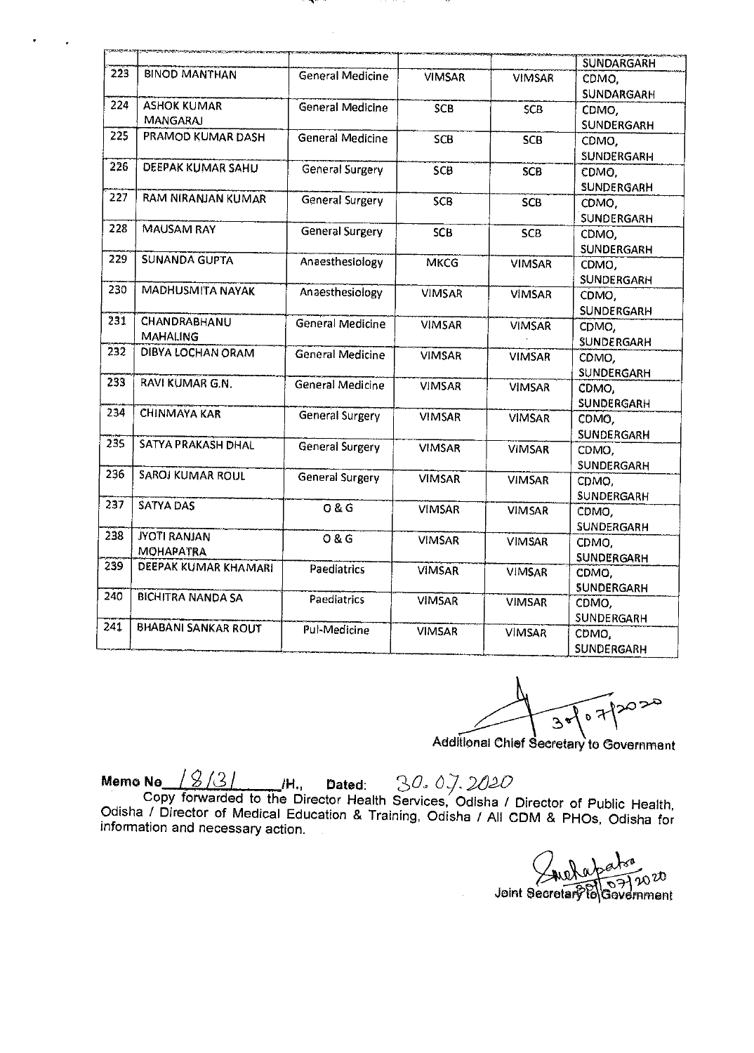| <b>SANART ALSO</b> |                            |                         |               |               |                   |
|--------------------|----------------------------|-------------------------|---------------|---------------|-------------------|
|                    |                            |                         |               |               | <b>SUNDARGARH</b> |
| 223                | <b>BINOD MANTHAN</b>       | <b>General Medicine</b> | <b>VIMSAR</b> | <b>VIMSAR</b> | CDMO.             |
|                    |                            |                         |               |               | <b>SUNDARGARH</b> |
| 224                | <b>ASHOK KUMAR</b>         | General Medicine        | <b>SCB</b>    | <b>SCB</b>    | CDMO.             |
|                    | <b>MANGARAJ</b>            |                         |               |               | <b>SUNDERGARH</b> |
| 225                | PRAMOD KUMAR DASH          | <b>General Medicine</b> | SCB           | <b>SCB</b>    | CDMO.             |
|                    |                            |                         |               |               | SUNDERGARH        |
| 226                | DEEPAK KUMAR SAHU          | General Surgery         | SCB           | <b>SCB</b>    | CDMO,             |
|                    |                            |                         |               |               | <b>SUNDERGARH</b> |
| 227                | RAM NIRANJAN KUMAR         | General Surgery         | <b>SCB</b>    | <b>SCB</b>    | CDMO,             |
|                    |                            |                         |               |               | SUNDERGARH        |
| 228                | <b>MAUSAM RAY</b>          | <b>General Surgery</b>  | <b>SCB</b>    | <b>SCB</b>    | CDMO,             |
|                    |                            |                         |               |               | <b>SUNDERGARH</b> |
| 229                | <b>SUNANDA GUPTA</b>       | Anaesthesiology         | <b>MKCG</b>   | <b>VIMSAR</b> | CDMO,             |
|                    |                            |                         |               |               | SUNDERGARH        |
| 230                | <b>MADHUSMITA NAYAK</b>    | Anaesthesiology         | <b>VIMSAR</b> | <b>VIMSAR</b> | CDMO,             |
|                    |                            |                         |               |               | <b>SUNDERGARH</b> |
| 231                | CHANDRABHANU               | <b>General Medicine</b> | <b>VIMSAR</b> | <b>VIMSAR</b> | CDMO.             |
|                    | <b>MAHALING</b>            |                         |               |               | <b>SUNDERGARH</b> |
| 232                | <b>DIBYA LOCHAN ORAM</b>   | General Medicine        | <b>VIMSAR</b> | <b>VIMSAR</b> | CDMO,             |
|                    |                            |                         |               |               | <b>SUNDERGARH</b> |
| 233                | RAVI KUMAR G.N.            | General Medicine        | <b>VIMSAR</b> | <b>VIMSAR</b> | CDMO,             |
|                    |                            |                         |               |               | SUNDERGARH        |
| 234                | <b>CHINMAYA KAR</b>        | <b>General Surgery</b>  | <b>VIMSAR</b> | <b>VIMSAR</b> | CDMO,             |
|                    |                            |                         |               |               | SUNDERGARH        |
| 235                | SATYA PRAKASH DHAL         | General Surgery         | <b>VIMSAR</b> | <b>VIMSAR</b> | CDMO,             |
|                    |                            |                         |               |               | SUNDERGARH        |
| 236                | <b>SAROJ KUMAR ROUL</b>    | General Surgery         | <b>VIMSAR</b> | <b>VIMSAR</b> | CDMO,             |
| 237                |                            |                         |               |               | <b>SUNDERGARH</b> |
|                    | <b>SATYA DAS</b>           | O & G                   | <b>VIMSAR</b> | <b>VIMSAR</b> | CDMO,             |
| 238                |                            |                         |               |               | <b>SUNDERGARH</b> |
|                    | <b>JYOTI RANJAN</b>        | 0 & G                   | <b>VIMSAR</b> | <b>VIMSAR</b> | CDMO,             |
| 239                | <b>MOHAPATRA</b>           |                         |               |               | SUNDERGARH        |
|                    | DEEPAK KUMAR KHAMARI       | Paediatrics             | <b>VIMSAR</b> | <b>VIMSAR</b> | CDMO,             |
| 240                |                            |                         |               |               | SUNDERGARH        |
|                    | <b>BICHITRA NANDA SA</b>   | Paediatrics             | <b>VIMSAR</b> | <b>VIMSAR</b> | CDMO,             |
| 241                |                            |                         |               |               | SUNDERGARH        |
|                    | <b>BHABANI SANKAR ROUT</b> | Pul-Medicine            | <b>VIMSAR</b> | <b>VIMSAR</b> | CDMO,             |
|                    |                            |                         |               |               | <b>SUNDERGARH</b> |

محمودٌ しゅん  $3$ 

Additional Chief Secretary to Government

Memo No <u>18/31</u> M., Dated: 30.07.2020

Copy forwarded to the Director Health Services, Odisha / Director of Public Health, Odisha / Director of Medical Education & Training, Odisha / All CDM & PHOs, Odisha for information and necessary action.

Joint Secretary To Goveri  $20v$ nment  $\vartheta$